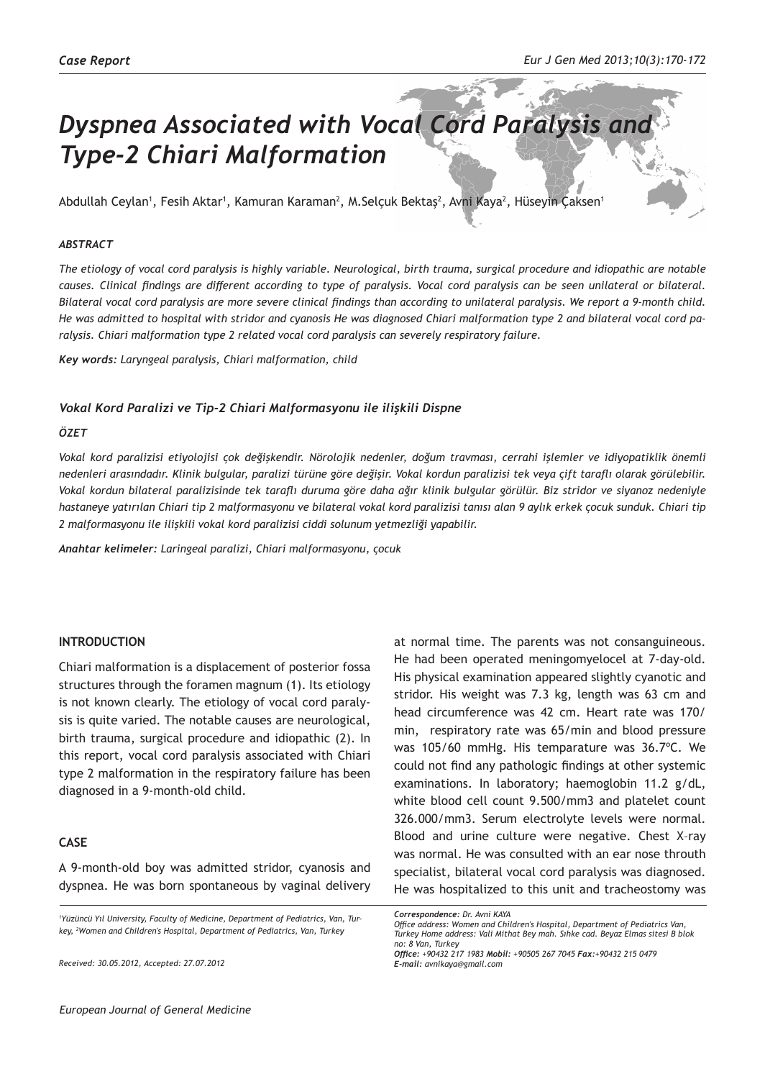# *Dyspnea Associated with Vocal Cord Paralysis and Type-2 Chiari Malformation*

Abdullah Ceylan<sup>1</sup>, Fesih Aktar<sup>1</sup>, Kamuran Karaman<sup>2</sup>, M.Selçuk Bektaş<sup>2</sup>, Avni Kaya<sup>2</sup>, Hüseyin Çaksen<sup>1</sup>

#### *ABSTRACT*

*The etiology of vocal cord paralysis is highly variable. Neurological, birth trauma, surgical procedure and idiopathic are notable causes. Clinical findings are different according to type of paralysis. Vocal cord paralysis can be seen unilateral or bilateral. Bilateral vocal cord paralysis are more severe clinical findings than according to unilateral paralysis. We report a 9-month child. He was admitted to hospital with stridor and cyanosis He was diagnosed Chiari malformation type 2 and bilateral vocal cord paralysis. Chiari malformation type 2 related vocal cord paralysis can severely respiratory failure.* 

*Key words: Laryngeal paralysis, Chiari malformation, child*

#### *Vokal Kord Paralizi ve Tip-2 Chiari Malformasyonu ile ilişkili Dispne*

#### *ÖZET*

*Vokal kord paralizisi etiyolojisi çok değişkendir. Nörolojik nedenler, doğum travması, cerrahi işlemler ve idiyopatiklik önemli nedenleri arasındadır. Klinik bulgular, paralizi türüne göre değişir. Vokal kordun paralizisi tek veya çift taraflı olarak görülebilir. Vokal kordun bilateral paralizisinde tek taraflı duruma göre daha ağır klinik bulgular görülür. Biz stridor ve siyanoz nedeniyle hastaneye yatırılan Chiari tip 2 malformasyonu ve bilateral vokal kord paralizisi tanısı alan 9 aylık erkek çocuk sunduk. Chiari tip 2 malformasyonu ile ilişkili vokal kord paralizisi ciddi solunum yetmezliği yapabilir.*

*Anahtar kelimeler: Laringeal paralizi, Chiari malformasyonu, çocuk*

## **INTRODUCTION**

Chiari malformation is a displacement of posterior fossa structures through the foramen magnum (1). Its etiology is not known clearly. The etiology of vocal cord paralysis is quite varied. The notable causes are neurological, birth trauma, surgical procedure and idiopathic (2). In this report, vocal cord paralysis associated with Chiari type 2 malformation in the respiratory failure has been diagnosed in a 9-month-old child.

## **CASE**

A 9-month-old boy was admitted stridor, cyanosis and dyspnea. He was born spontaneous by vaginal delivery

*Received: 30.05.2012, Accepted: 27.07.2012*

at normal time. The parents was not consanguineous. He had been operated meningomyelocel at 7-day-old. His physical examination appeared slightly cyanotic and stridor. His weight was 7.3 kg, length was 63 cm and head circumference was 42 cm. Heart rate was 170/ min, respiratory rate was 65/min and blood pressure was 105/60 mmHg. His temparature was 36.7ºC. We could not find any pathologic findings at other systemic examinations. In laboratory; haemoglobin 11.2 g/dL, white blood cell count 9.500/mm3 and platelet count 326.000/mm3. Serum electrolyte levels were normal. Blood and urine culture were negative. Chest X–ray was normal. He was consulted with an ear nose throuth specialist, bilateral vocal cord paralysis was diagnosed. He was hospitalized to this unit and tracheostomy was

*<sup>1</sup> Yüzüncü Yıl University, Faculty of Medicine, Department of Pediatrics, Van, Turkey, <sup>2</sup> Women and Children's Hospital, Department of Pediatrics, Van, Turkey*

*Correspondence: Dr. Avni KAYA* 

*Office address: Women and Children's Hospital, Department of Pediatrics Van, Turkey Home address: Vali Mithat Bey mah. Sıhke cad. Beyaz Elmas sitesi B blok no: 8 Van, Turkey*

*Office: +90432 217 1983 Mobil: +90505 267 7045 Fax:+90432 215 0479 E-mail: avnikaya@gmail.com*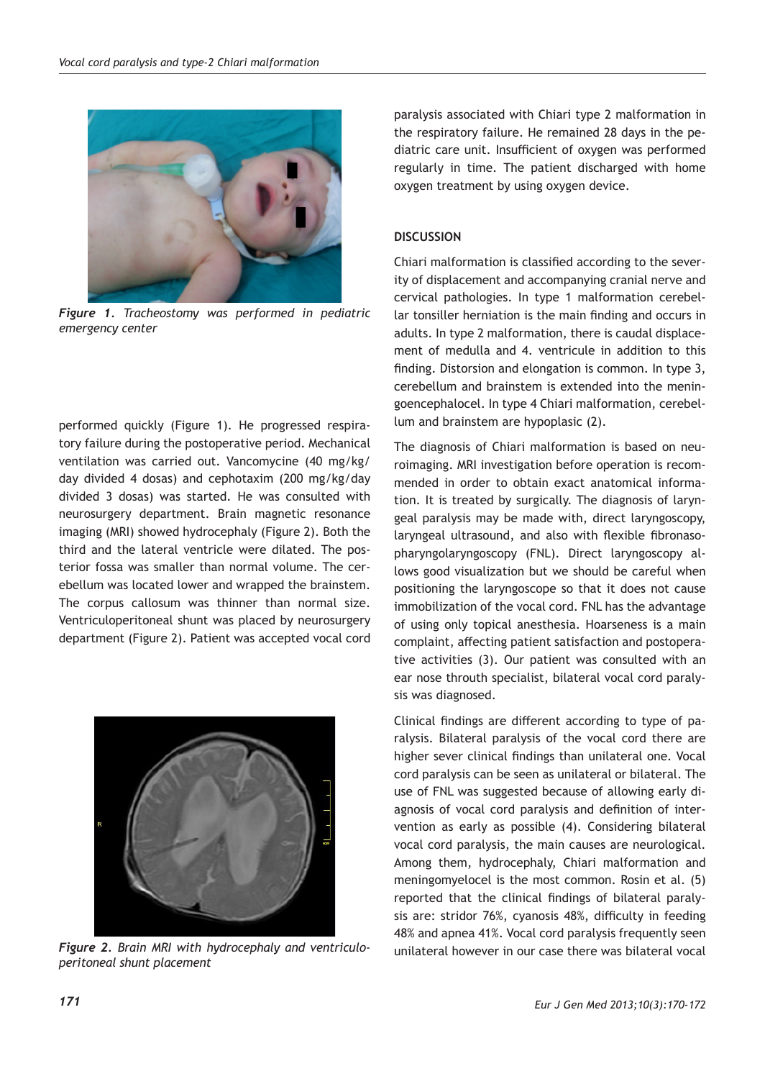

*Figure 1. Tracheostomy was performed in pediatric emergency center*

performed quickly (Figure 1). He progressed respiratory failure during the postoperative period. Mechanical ventilation was carried out. Vancomycine (40 mg/kg/ day divided 4 dosas) and cephotaxim (200 mg/kg/day divided 3 dosas) was started. He was consulted with neurosurgery department. Brain magnetic resonance imaging (MRI) showed hydrocephaly (Figure 2). Both the third and the lateral ventricle were dilated. The posterior fossa was smaller than normal volume. The cerebellum was located lower and wrapped the brainstem. The corpus callosum was thinner than normal size. Ventriculoperitoneal shunt was placed by neurosurgery department (Figure 2). Patient was accepted vocal cord



Figure 2. Brain MRI with hydrocephaly and ventriculo-<br>
unilateral however in our case there was bilateral vocal *peritoneal shunt placement*

paralysis associated with Chiari type 2 malformation in the respiratory failure. He remained 28 days in the pediatric care unit. Insufficient of oxygen was performed regularly in time. The patient discharged with home oxygen treatment by using oxygen device.

## **DISCUSSION**

Chiari malformation is classified according to the severity of displacement and accompanying cranial nerve and cervical pathologies. In type 1 malformation cerebellar tonsiller herniation is the main finding and occurs in adults. In type 2 malformation, there is caudal displacement of medulla and 4. ventricule in addition to this finding. Distorsion and elongation is common. In type 3, cerebellum and brainstem is extended into the meningoencephalocel. In type 4 Chiari malformation, cerebellum and brainstem are hypoplasic (2).

The diagnosis of Chiari malformation is based on neuroimaging. MRI investigation before operation is recommended in order to obtain exact anatomical information. It is treated by surgically. The diagnosis of laryngeal paralysis may be made with, direct laryngoscopy, laryngeal ultrasound, and also with flexible fibronasopharyngolaryngoscopy (FNL). Direct laryngoscopy allows good visualization but we should be careful when positioning the laryngoscope so that it does not cause immobilization of the vocal cord. FNL has the advantage of using only topical anesthesia. Hoarseness is a main complaint, affecting patient satisfaction and postoperative activities (3). Our patient was consulted with an ear nose throuth specialist, bilateral vocal cord paralysis was diagnosed.

Clinical findings are different according to type of paralysis. Bilateral paralysis of the vocal cord there are higher sever clinical findings than unilateral one. Vocal cord paralysis can be seen as unilateral or bilateral. The use of FNL was suggested because of allowing early diagnosis of vocal cord paralysis and definition of intervention as early as possible (4). Considering bilateral vocal cord paralysis, the main causes are neurological. Among them, hydrocephaly, Chiari malformation and meningomyelocel is the most common. Rosin et al. (5) reported that the clinical findings of bilateral paralysis are: stridor 76%, cyanosis 48%, difficulty in feeding 48% and apnea 41%. Vocal cord paralysis frequently seen